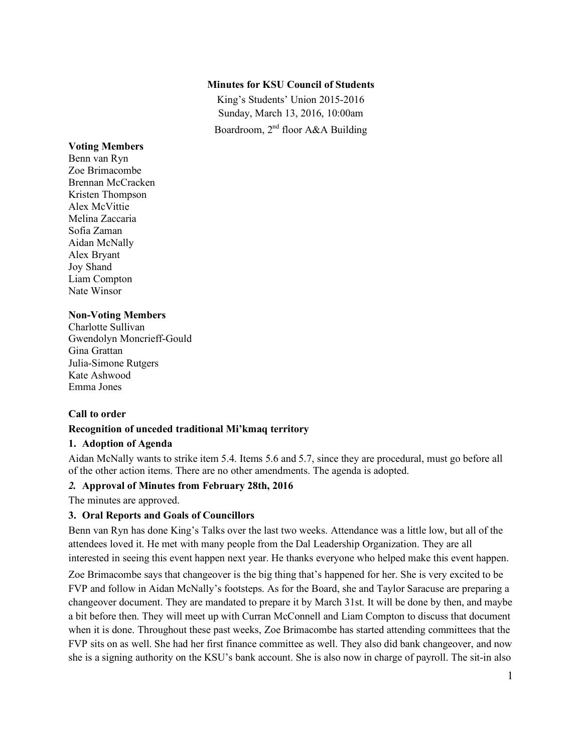### **Minutes for KSU Council of Students**

King's Students' Union 2015-2016 Sunday, March 13, 2016, 10:00am Boardroom, 2nd floor A&A Building

#### **Voting Members**

Benn van Ryn Zoe Brimacombe Brennan McCracken Kristen Thompson Alex McVittie Melina Zaccaria Sofia Zaman Aidan McNally Alex Bryant Joy Shand Liam Compton Nate Winsor

### **Non-Voting Members**

Charlotte Sullivan Gwendolyn Moncrieff-Gould Gina Grattan Julia-Simone Rutgers Kate Ashwood Emma Jones

# **Call to order**

### **Recognition of unceded traditional Mi'kmaq territory**

### **1. Adoption of Agenda**

Aidan McNally wants to strike item 5.4. Items 5.6 and 5.7, since they are procedural, must go before all of the other action items. There are no other amendments. The agenda is adopted.

# *2.* **Approval of Minutes from February 28th, 2016**

The minutes are approved.

# **3. Oral Reports and Goals of Councillors**

Benn van Ryn has done King's Talks over the last two weeks. Attendance was a little low, but all of the attendees loved it. He met with many people from the Dal Leadership Organization. They are all interested in seeing this event happen next year. He thanks everyone who helped make this event happen.

Zoe Brimacombe says that changeover is the big thing that's happened for her. She is very excited to be FVP and follow in Aidan McNally's footsteps. As for the Board, she and Taylor Saracuse are preparing a changeover document. They are mandated to prepare it by March 31st. It will be done by then, and maybe a bit before then. They will meet up with Curran McConnell and Liam Compton to discuss that document when it is done. Throughout these past weeks, Zoe Brimacombe has started attending committees that the FVP sits on as well. She had her first finance committee as well. They also did bank changeover, and now she is a signing authority on the KSU's bank account. She is also now in charge of payroll. The sit-in also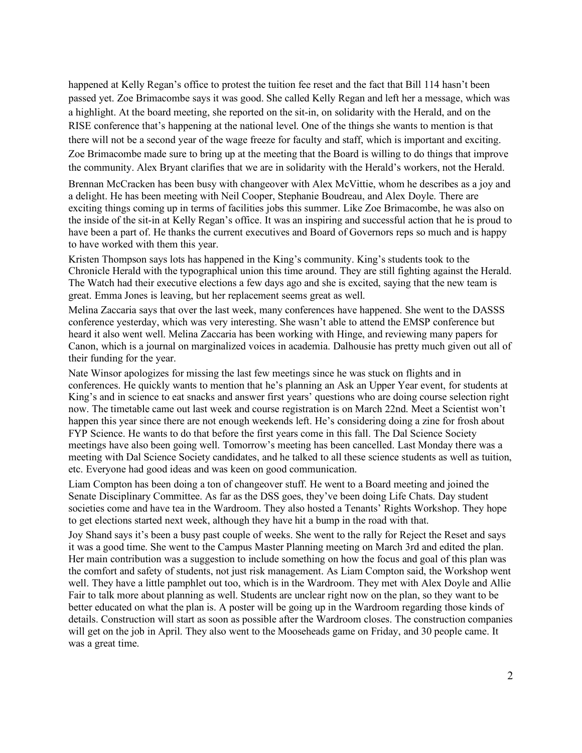happened at Kelly Regan's office to protest the tuition fee reset and the fact that Bill 114 hasn't been passed yet. Zoe Brimacombe says it was good. She called Kelly Regan and left her a message, which was a highlight. At the board meeting, she reported on the sit-in, on solidarity with the Herald, and on the RISE conference that's happening at the national level. One of the things she wants to mention is that there will not be a second year of the wage freeze for faculty and staff, which is important and exciting. Zoe Brimacombe made sure to bring up at the meeting that the Board is willing to do things that improve the community. Alex Bryant clarifies that we are in solidarity with the Herald's workers, not the Herald.

Brennan McCracken has been busy with changeover with Alex McVittie, whom he describes as a joy and a delight. He has been meeting with Neil Cooper, Stephanie Boudreau, and Alex Doyle. There are exciting things coming up in terms of facilities jobs this summer. Like Zoe Brimacombe, he was also on the inside of the sit-in at Kelly Regan's office. It was an inspiring and successful action that he is proud to have been a part of. He thanks the current executives and Board of Governors reps so much and is happy to have worked with them this year.

Kristen Thompson says lots has happened in the King's community. King's students took to the Chronicle Herald with the typographical union this time around. They are still fighting against the Herald. The Watch had their executive elections a few days ago and she is excited, saying that the new team is great. Emma Jones is leaving, but her replacement seems great as well.

Melina Zaccaria says that over the last week, many conferences have happened. She went to the DASSS conference yesterday, which was very interesting. She wasn't able to attend the EMSP conference but heard it also went well. Melina Zaccaria has been working with Hinge, and reviewing many papers for Canon, which is a journal on marginalized voices in academia. Dalhousie has pretty much given out all of their funding for the year.

Nate Winsor apologizes for missing the last few meetings since he was stuck on flights and in conferences. He quickly wants to mention that he's planning an Ask an Upper Year event, for students at King's and in science to eat snacks and answer first years' questions who are doing course selection right now. The timetable came out last week and course registration is on March 22nd. Meet a Scientist won't happen this year since there are not enough weekends left. He's considering doing a zine for frosh about FYP Science. He wants to do that before the first years come in this fall. The Dal Science Society meetings have also been going well. Tomorrow's meeting has been cancelled. Last Monday there was a meeting with Dal Science Society candidates, and he talked to all these science students as well as tuition, etc. Everyone had good ideas and was keen on good communication.

Liam Compton has been doing a ton of changeover stuff. He went to a Board meeting and joined the Senate Disciplinary Committee. As far as the DSS goes, they've been doing Life Chats. Day student societies come and have tea in the Wardroom. They also hosted a Tenants' Rights Workshop. They hope to get elections started next week, although they have hit a bump in the road with that.

Joy Shand says it's been a busy past couple of weeks. She went to the rally for Reject the Reset and says it was a good time. She went to the Campus Master Planning meeting on March 3rd and edited the plan. Her main contribution was a suggestion to include something on how the focus and goal of this plan was the comfort and safety of students, not just risk management. As Liam Compton said, the Workshop went well. They have a little pamphlet out too, which is in the Wardroom. They met with Alex Doyle and Allie Fair to talk more about planning as well. Students are unclear right now on the plan, so they want to be better educated on what the plan is. A poster will be going up in the Wardroom regarding those kinds of details. Construction will start as soon as possible after the Wardroom closes. The construction companies will get on the job in April. They also went to the Mooseheads game on Friday, and 30 people came. It was a great time.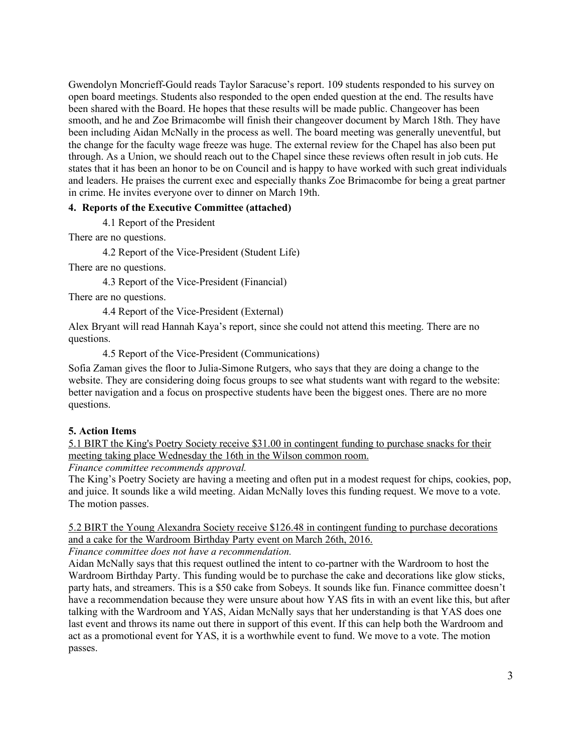Gwendolyn Moncrieff-Gould reads Taylor Saracuse's report. 109 students responded to his survey on open board meetings. Students also responded to the open ended question at the end. The results have been shared with the Board. He hopes that these results will be made public. Changeover has been smooth, and he and Zoe Brimacombe will finish their changeover document by March 18th. They have been including Aidan McNally in the process as well. The board meeting was generally uneventful, but the change for the faculty wage freeze was huge. The external review for the Chapel has also been put through. As a Union, we should reach out to the Chapel since these reviews often result in job cuts. He states that it has been an honor to be on Council and is happy to have worked with such great individuals and leaders. He praises the current exec and especially thanks Zoe Brimacombe for being a great partner in crime. He invites everyone over to dinner on March 19th.

#### **4. Reports of the Executive Committee (attached)**

4.1 Report of the President

There are no questions.

4.2 Report of the Vice-President (Student Life)

There are no questions.

4.3 Report of the Vice-President (Financial)

There are no questions.

4.4 Report of the Vice-President (External)

Alex Bryant will read Hannah Kaya's report, since she could not attend this meeting. There are no questions.

4.5 Report of the Vice-President (Communications)

Sofia Zaman gives the floor to Julia-Simone Rutgers, who says that they are doing a change to the website. They are considering doing focus groups to see what students want with regard to the website: better navigation and a focus on prospective students have been the biggest ones. There are no more questions.

### **5. Action Items**

5.1 BIRT the King's Poetry Society receive \$31.00 in contingent funding to purchase snacks for their meeting taking place Wednesday the 16th in the Wilson common room.

*Finance committee recommends approval.*

The King's Poetry Society are having a meeting and often put in a modest request for chips, cookies, pop, and juice. It sounds like a wild meeting. Aidan McNally loves this funding request. We move to a vote. The motion passes.

5.2 BIRT the Young Alexandra Society receive \$126.48 in contingent funding to purchase decorations and a cake for the Wardroom Birthday Party event on March 26th, 2016.

*Finance committee does not have a recommendation.*

Aidan McNally says that this request outlined the intent to co-partner with the Wardroom to host the Wardroom Birthday Party. This funding would be to purchase the cake and decorations like glow sticks, party hats, and streamers. This is a \$50 cake from Sobeys. It sounds like fun. Finance committee doesn't have a recommendation because they were unsure about how YAS fits in with an event like this, but after talking with the Wardroom and YAS, Aidan McNally says that her understanding is that YAS does one last event and throws its name out there in support of this event. If this can help both the Wardroom and act as a promotional event for YAS, it is a worthwhile event to fund. We move to a vote. The motion passes.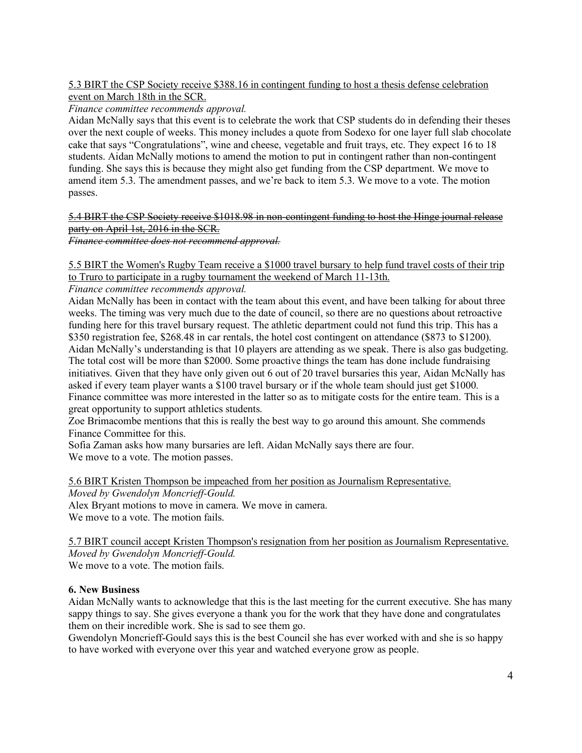### 5.3 BIRT the CSP Society receive \$388.16 in contingent funding to host a thesis defense celebration event on March 18th in the SCR.

*Finance committee recommends approval.*

Aidan McNally says that this event is to celebrate the work that CSP students do in defending their theses over the next couple of weeks. This money includes a quote from Sodexo for one layer full slab chocolate cake that says "Congratulations", wine and cheese, vegetable and fruit trays, etc. They expect 16 to 18 students. Aidan McNally motions to amend the motion to put in contingent rather than non-contingent funding. She says this is because they might also get funding from the CSP department. We move to amend item 5.3. The amendment passes, and we're back to item 5.3. We move to a vote. The motion passes.

# 5.4 BIRT the CSP Society receive \$1018.98 in non-contingent funding to host the Hinge journal release party on April 1st, 2016 in the SCR.

*Finance committee does not recommend approval.*

5.5 BIRT the Women's Rugby Team receive a \$1000 travel bursary to help fund travel costs of their trip to Truro to participate in a rugby tournament the weekend of March 11-13th.

*Finance committee recommends approval.*

Aidan McNally has been in contact with the team about this event, and have been talking for about three weeks. The timing was very much due to the date of council, so there are no questions about retroactive funding here for this travel bursary request. The athletic department could not fund this trip. This has a \$350 registration fee, \$268.48 in car rentals, the hotel cost contingent on attendance (\$873 to \$1200). Aidan McNally's understanding is that 10 players are attending as we speak. There is also gas budgeting. The total cost will be more than \$2000. Some proactive things the team has done include fundraising initiatives. Given that they have only given out 6 out of 20 travel bursaries this year, Aidan McNally has asked if every team player wants a \$100 travel bursary or if the whole team should just get \$1000. Finance committee was more interested in the latter so as to mitigate costs for the entire team. This is a great opportunity to support athletics students.

Zoe Brimacombe mentions that this is really the best way to go around this amount. She commends Finance Committee for this.

Sofia Zaman asks how many bursaries are left. Aidan McNally says there are four. We move to a vote. The motion passes.

5.6 BIRT Kristen Thompson be impeached from her position as Journalism Representative. *Moved by Gwendolyn Moncrieff-Gould.*

Alex Bryant motions to move in camera. We move in camera.

We move to a vote. The motion fails.

5.7 BIRT council accept Kristen Thompson's resignation from her position as Journalism Representative. *Moved by Gwendolyn Moncrieff-Gould.* We move to a vote. The motion fails.

# **6. New Business**

Aidan McNally wants to acknowledge that this is the last meeting for the current executive. She has many sappy things to say. She gives everyone a thank you for the work that they have done and congratulates them on their incredible work. She is sad to see them go.

Gwendolyn Moncrieff-Gould says this is the best Council she has ever worked with and she is so happy to have worked with everyone over this year and watched everyone grow as people.